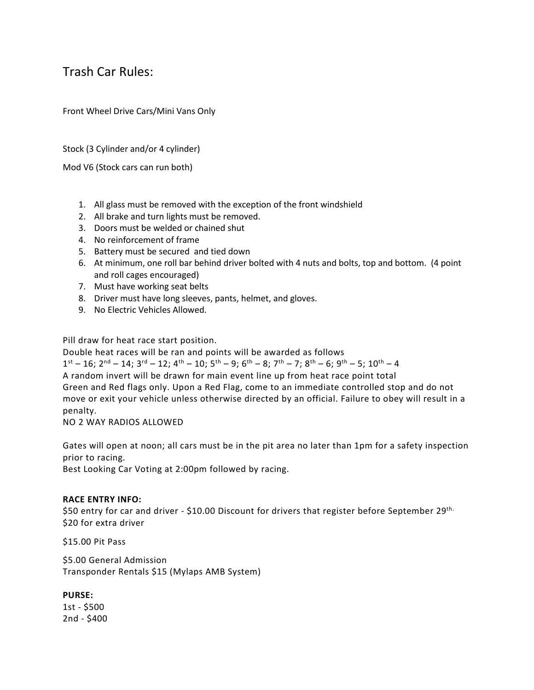## Trash Car Rules:

Front Wheel Drive Cars/Mini Vans Only

Stock (3 Cylinder and/or 4 cylinder)

Mod V6 (Stock cars can run both)

- 1. All glass must be removed with the exception of the front windshield
- 2. All brake and turn lights must be removed.
- 3. Doors must be welded or chained shut
- 4. No reinforcement of frame
- 5. Battery must be secured and tied down
- 6. At minimum, one roll bar behind driver bolted with 4 nuts and bolts, top and bottom. (4 point and roll cages encouraged)
- 7. Must have working seat belts
- 8. Driver must have long sleeves, pants, helmet, and gloves.
- 9. No Electric Vehicles Allowed.

Pill draw for heat race start position.

Double heat races will be ran and points will be awarded as follows

 $1^{\text{st}} - 16$ ;  $2^{\text{nd}} - 14$ ;  $3^{\text{rd}} - 12$ ;  $4^{\text{th}} - 10$ ;  $5^{\text{th}} - 9$ ;  $6^{\text{th}} - 8$ ;  $7^{\text{th}} - 7$ ;  $8^{\text{th}} - 6$ ;  $9^{\text{th}} - 5$ ;  $10^{\text{th}} - 4$ A random invert will be drawn for main event line up from heat race point total Green and Red flags only. Upon a Red Flag, come to an immediate controlled stop and do not move or exit your vehicle unless otherwise directed by an official. Failure to obey will result in a penalty.

NO 2 WAY RADIOS ALLOWED

Gates will open at noon; all cars must be in the pit area no later than 1pm for a safety inspection prior to racing.

Best Looking Car Voting at 2:00pm followed by racing.

## **RACE ENTRY INFO:**

\$50 entry for car and driver - \$10.00 Discount for drivers that register before September 29th. \$20 for extra driver

\$15.00 Pit Pass

\$5.00 General Admission Transponder Rentals \$15 (Mylaps AMB System)

**PURSE:** 1st - \$500 2nd - \$400